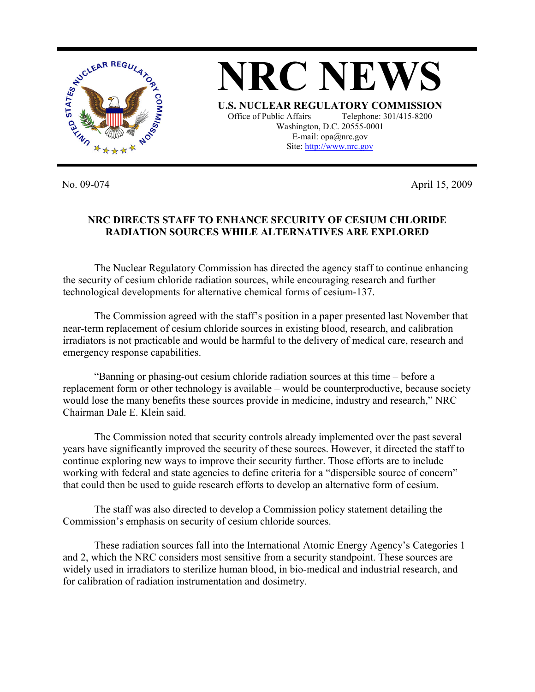

No. 09-074 April 15, 2009

## **NRC DIRECTS STAFF TO ENHANCE SECURITY OF CESIUM CHLORIDE RADIATION SOURCES WHILE ALTERNATIVES ARE EXPLORED**

The Nuclear Regulatory Commission has directed the agency staff to continue enhancing the security of cesium chloride radiation sources, while encouraging research and further technological developments for alternative chemical forms of cesium-137.

 The Commission agreed with the staff's position in a paper presented last November that near-term replacement of cesium chloride sources in existing blood, research, and calibration irradiators is not practicable and would be harmful to the delivery of medical care, research and emergency response capabilities.

 "Banning or phasing-out cesium chloride radiation sources at this time – before a replacement form or other technology is available – would be counterproductive, because society would lose the many benefits these sources provide in medicine, industry and research," NRC Chairman Dale E. Klein said.

 The Commission noted that security controls already implemented over the past several years have significantly improved the security of these sources. However, it directed the staff to continue exploring new ways to improve their security further. Those efforts are to include working with federal and state agencies to define criteria for a "dispersible source of concern" that could then be used to guide research efforts to develop an alternative form of cesium.

 The staff was also directed to develop a Commission policy statement detailing the Commission's emphasis on security of cesium chloride sources.

 These radiation sources fall into the International Atomic Energy Agency's Categories 1 and 2, which the NRC considers most sensitive from a security standpoint. These sources are widely used in irradiators to sterilize human blood, in bio-medical and industrial research, and for calibration of radiation instrumentation and dosimetry.